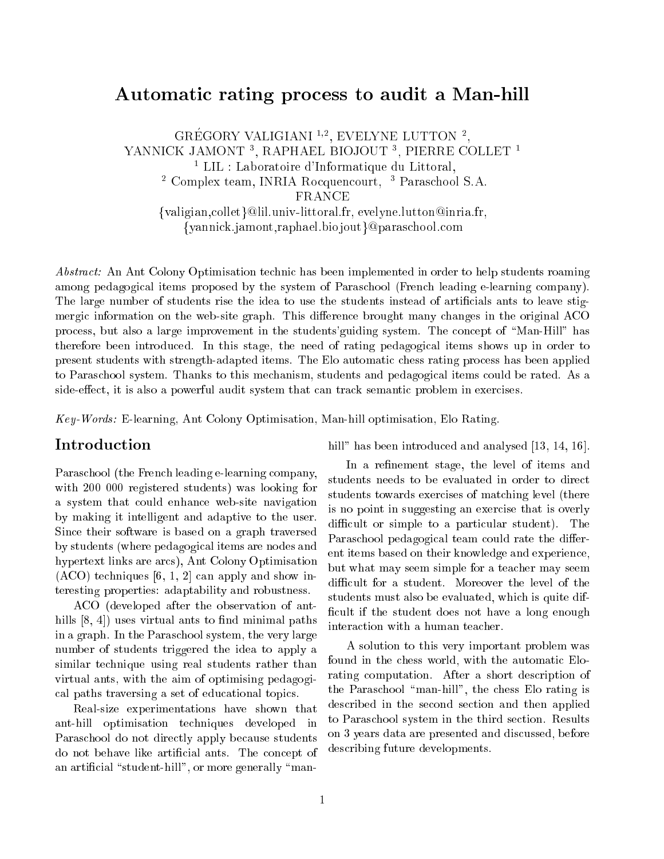# Automatic rating process to audit a Man-hill

GREGORY VALIGIANI "", EVELYNE LUTTON ", YANNICK JAMONT <sup>3</sup> , RAPHAEL BIOJOUT <sup>3</sup> , PIERRE COLLET <sup>1</sup> <sup>1</sup> LIL : Laboratoire d'Informatique du Littoral. Complex team, INNIA Rocquencourt, Paraschool S.A. FRANCE {valigian, collet}@lil.univ-littoral.fr, evelyne.lutton@inria.fr, {vannick.jamont.raphael.biojout}@paraschool.com

Abstract: An Ant Colony Optimisation technic has been implemented in order to help students roaming among pedagogical items proposed by the system of Paraschool (French leading e-learning company). The large number of students rise the idea to use the students instead of artificials ants to leave stigmergic information on the web-site graph. This difference brought many changes in the original ACO process, but also a large improvement in the students' guiding system. The concept of "Man-Hill" has therefore been introdu
ed. In this stage, the need of rating pedagogi
al items shows up in order to present students with strength-adapted items. The Elo automati hess rating pro
ess has been applied to Paraschool system. Thanks to this mechanism, students and pedagogical items could be rated. As a side-effect, it is also a powerful audit system that can track semantic problem in exercises.

Key-Words: E-learning, Ant Colony Optimisation, Man-hill optimisation, Elo Rating.

Paraschool (the French leading e-learning company, with 200 000 registered students) was looking for a system that ould enhan
e web-site navigation by making it intelligent and adaptive to the user. Sin
e their software is based on a graph traversed by students (where pedagogi
al items are nodes and hypertext links are ar
s), Ant Colony Optimisation  $(ACO)$  techniques [6, 1, 2] can apply and show interesting properties: adaptability and robustness.

ACO (developed after the observation of anthills  $[8, 4]$  uses virtual ants to find minimal paths in a graph. In the Paras
hool system, the very large number of students triggered the idea to apply a similar technique using real students rather than virtual ants, with the aim of optimising pedagogi al paths traversing a set of edu
ational topi
s.

Real-size experimentations have shown that ant-hill optimisation te
hniques developed in Paraschool do not directly apply because students do not behave like artificial ants. The concept of an artificial "student-hill", or more generally "manhill" has been introduced and analysed  $[13, 14, 16]$ .

In a refinement stage, the level of items and students needs to be evaluated in order to dire
t students towards exercises of matching level (there is no point in suggesting an exer
ise that is overly difficult or simple to a particular student). The Paraschool pedagogical team could rate the different items based on their knowledge and experien
e, but what may seem simple for a tea
her may seem difficult for a student. Moreover the level of the students must also be evaluated, whi
h is quite dif ficult if the student does not have a long enough interaction with a human teacher.

A solution to this very important problem was found in the chess world, with the automatic Elorating computation. After a short description of the Paraschool "man-hill", the chess Elo rating is described in the second section and then applied to Paras
hool system in the third se
tion. Results on 3 years data are presented and dis
ussed, before des
ribing future developments.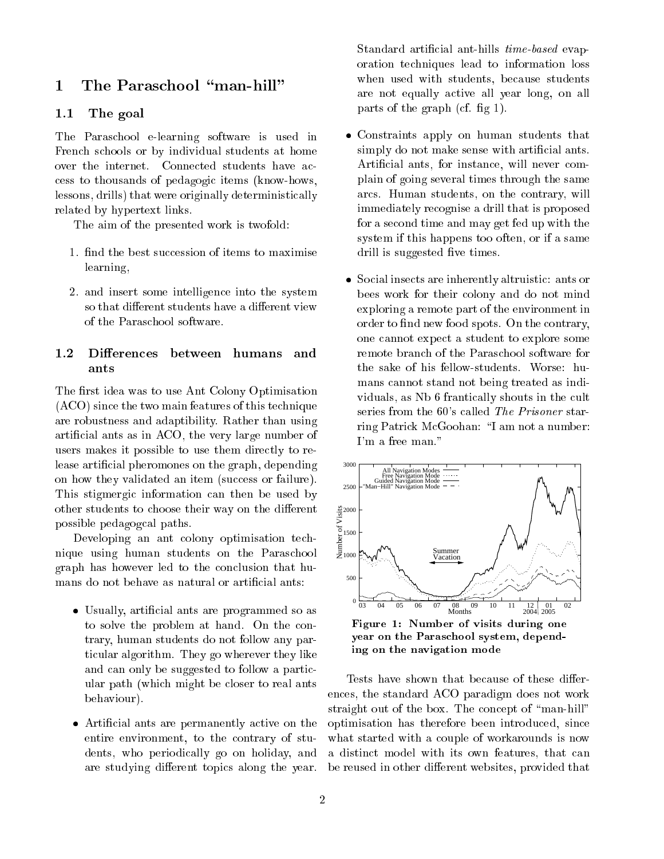#### The Paraschool "man-hill"  $\mathbf 1$  $\overline{\phantom{0}}$

#### 1.1The goal

The Paras
hool e-learning software is used in Fren
h s
hools or by individual students at home over the internet. Connected students have acess to thousands of pedagogi items (know-hows, lessons, drills) that were originally deterministi
ally related by hypertext links.

The aim of the presented work is twofold:

- 1. find the best succession of items to maximise learning,
- 2. and insert some intelligen
e into the system so that different students have a different view of the Paraschool software.

## 1.2Differences between humans and

The first idea was to use Ant Colony Optimisation (ACO) sin
e the two main features of this te
hnique are robustness and adaptibility. Rather than using arti
ial ants as in ACO, the very large number of users makes it possible to use them directly to release artificial pheromones on the graph, depending on how they validated an item (success or failure). This stigmergic information can then be used by other students to choose their way on the different possible pedagog
al paths.

Developing an ant colony optimisation technique using human students on the Paras
hool graph has however led to the on
lusion that humans do not behave as natural or artificial ants:

- Usually, artificial ants are programmed so as to solve the problem at hand. On the contrary, human students do not follow any parti
ular algorithm. They go wherever they like and can only be suggested to follow a particular path (whi
h might be loser to real ants behaviour).
- Artificial ants are permanently active on the entire environment, to the ontrary of students, who periodically go on holiday, and are studying different topics along the year.

Standard artificial ant-hills *time-based* evaporation te
hniques lead to information loss when used with students, because students are not equally a
tive all year long, on all parts of the graph (cf. fig  $1$ ).

- Constraints apply on human students that simply do not make sense with artificial ants. Artificial ants, for instance, will never complain of going several times through the same ar
s. Human students, on the ontrary, will immediately re
ognise a drill that is proposed for a se
ond time and may get fed up with the system if this happens too often, or if a same drill is suggested five times.
- Social insects are inherently altruistic: ants or bees work for their olony and do not mind exploring a remote part of the environment in order to find new food spots. On the contrary, one annot expe
t a student to explore some remote bran
h of the Paras
hool software for the sake of his fellow-students. Worse: humans annot stand not being treated as individuals, as Nb 6 frantically shouts in the cult series from the 60's called The Prisoner starring Patrick McGoohan: "I am not a number: I'm a free man."



Figure 1: Number of visits during one year on the Paras
hool system, depending on the navigation mode

Tests have shown that because of these differences, the standard ACO paradigm does not work straight out of the box. The concept of "man-hill" optimisation has therefore been introdu
ed, sin
e what started with a couple of workarounds is now a distinct model with its own features, that can be reused in other different websites, provided that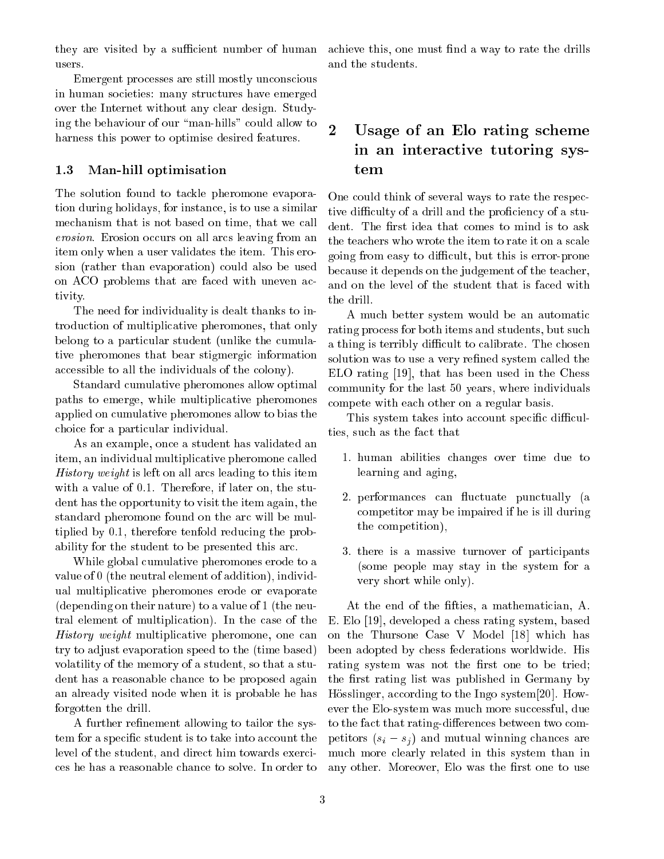they are visited by a sufficient number of human users.

Emergent processes are still mostly unconscious in human so
ieties: many stru
tures have emerged over the Internet without any lear design. Studying the behaviour of our "man-hills" could allow to harness this power to optimise desired features.

#### 1.3Man-hill optimisation

The solution found to tackle pheromone evaporation during holidays, for instan
e, is to use a similar me
hanism that is not based on time, that we all erosion. Erosion occurs on all arcs leaving from an item only when a user validates the item. This erosion (rather than evaporation) ould also be used on ACO problems that are faced with uneven activity.

The need for individuality is dealt thanks to introduction of multiplicative pheromones, that only belong to a particular student (unlike the cumulative pheromones that bear stigmergi information accessible to all the individuals of the colony).

Standard umulative pheromones allow optimal paths to emerge, while multipli
ative pheromones applied on umulative pheromones allow to bias the hoi
e for a parti
ular individual.

As an example, on
e a student has validated an item, an individual multipli
ative pheromone alled History weight is left on all ar
s leading to this item with a value of 0.1. Therefore, if later on, the student has the opportunity to visit the item again, the standard pheromone found on the ar will be multiplied by 0.1, therefore tenfold redu
ing the probability for the student to be presented this ar
.

While global cumulative pheromones erode to a value of 0 (the neutral element of addition), individual multipli
ative pheromones erode or evaporate (depending on their nature) to a value of 1 (the neutral element of multipli
ation). In the ase of the History weight multiplicative pheromone, one can try to adjust evaporation speed to the (time based) volatility of the memory of a student, so that a student has a reasonable han
e to be proposed again an already visited node when it is probable he has forgotten the drill.

A further refinement allowing to tailor the system for a specific student is to take into account the level of the student, and direct him towards exercies he has a reasonable han
e to solve. In order to achieve this, one must find a way to rate the drills and the students.

## $\overline{2}$  Usage of an Elo rating s
heme in and interaction and interaction and interactional and interactional and interactional and interactional and tem

One could think of several ways to rate the respective difficulty of a drill and the proficiency of a student. The first idea that comes to mind is to ask the teachers who wrote the item to rate it on a scale going from easy to diÆ
ult, but this is error-prone be
ause it depends on the judgement of the tea
her, and on the level of the student that is fa
ed with the drill.

A mu
h better system would be an automati rating pro
ess for both items and students, but su
h a thing is terribly difficult to calibrate. The chosen solution was to use a very refined system called the  $ELO$  rating [19], that has been used in the Chess ommunity for the last 50 years, where individuals ompete with ea
h other on a regular basis.

This system takes into account specific difficulties, such as the fact that

- 1. human abilities hanges over time due to learning and aging,
- 2. performances can fluctuate punctually (a ompetitor may be impaired if he is ill during the ompetition),
- 3. there is a massive turnover of parti
ipants (some people may stay in the system for a very short while only).

At the end of the fifties, a mathematician, A. E. Elo [19], developed a chess rating system, based on the Thursone Case V Model [18] which has been adopted by hess federations worldwide. His rating system was not the first one to be tried; the first rating list was published in Germany by Hösslinger, according to the Ingo system [20]. However the Elo-system was much more successful, due to the fact that rating-differences between two competitors  $(s_i - s_j)$  and mutual winning chances are mu
h more learly related in this system than in any other. Moreover, Elo was the first one to use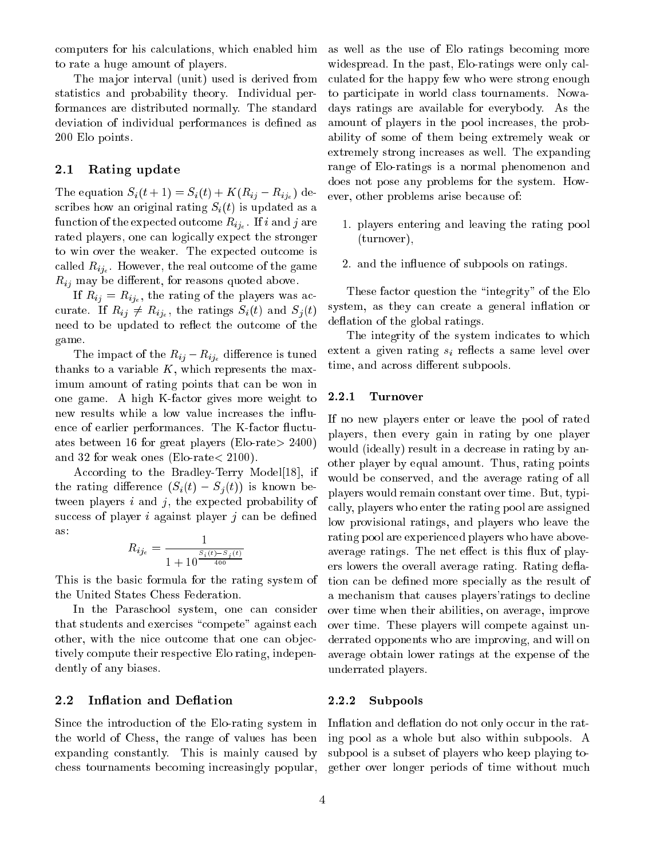omputers for his al
ulations, whi
h enabled him to rate a huge amount of players.

The major interval (unit) used is derived from statisti
s and probability theory. Individual performan
es are distributed normally. The standard deviation of individual performances is defined as 200 Elo points.

#### 2.1Rating update

The equation  $S_i(t+1) = S_i(t) + K(R_{ij} - R_{ij_e})$  describes how an original rating  $S_i(t)$  is updated as a the expected of the experiment of the experiment  $\mathbb{E}[v_{i}]_{\ell}$  . If it are not if  $j$  and  $i$ rated players, one an logi
ally expe
t the stronger to win over the weaker. The expe
ted out
ome is  $-1$ ije the real output  $\alpha$  $R_{ij}$  may be different, for reasons quoted above.

 $\mathbf{r} = \mathbf{r} \cdot \mathbf{r}$  and  $\mathbf{r} = \mathbf{r} \cdot \mathbf{r}$  and  $\mathbf{r} = \mathbf{r} \cdot \mathbf{r}$  and  $\mathbf{r} = \mathbf{r} \cdot \mathbf{r}$  $\mathcal{L}$  is the ratio of  $\mathcal{L}$  (ii) and  $\mathcal{L}$  (the ratio of  $\mathcal{L}$ ) and  $\mathcal{L}$  (the ratio of  $\mathcal{L}$ ) need to be updated to reflect the outcome of the game.

The impact of the  $R_{ij} - R_{ij}$  difference is tuned thanks to a variable  $K$ , which represents the maximum amount of rating points that an be won in one game. A high K-fa
tor gives more weight to new results while a low value increases the influence of earlier performances. The K-factor fluctuates between 16 for great players (Elo-rate<sup>&</sup>gt; 2400) and 32 for weak ones (Elo-rate<sup>&</sup>lt; 2100).

According to the Bradley-Terry Model<sup>[18]</sup>, if the rating difference  $(S_i(t) - S_j(t))$  is known between players  $i$  and  $j$ , the expected probability of success of player  $i$  against player  $j$  can be defined as:

$$
R_{ij_e} = \frac{1}{1 + 10^{\frac{S_i(t) - S_j(t)}{400}}}
$$

This is the basi formula for the rating system of the United States Chess Federation.

In the Paraschool system, one can consider that students and exercises "compete" against each other, with the nice outcome that one can objectively ompute their respe
tive Elo rating, independently of any biases.

## 2.2 Inflation and Deflation

Sin
e the introdu
tion of the Elo-rating system in the world of Chess, the range of values has been expanding onstantly. This is mainly aused by hess tournaments be
oming in
reasingly popular, as well as the use of Elo ratings be
oming more widespread. In the past, Elo-ratings were only calulated for the happy few who were strong enough to parti
ipate in world lass tournaments. Nowadays ratings are available for everybody. As the amount of players in the pool in
reases, the probability of some of them being extremely weak or extremely strong increases as well. The expanding range of Elo-ratings is a normal phenomenon and does not pose any problems for the system. However, other problems arise be
ause of:

- 1. players entering and leaving the rating pool (turnover),
- 2. and the influence of subpools on ratings.

These factor question the "integrity" of the Elo system, as they can create a general inflation or deflation of the global ratings.

The integrity of the system indicates to which extent a given rating  $s_i$  reflects a same level over time, and across different subpools.

### 2.2.1 Turnover

If no new players enter or leave the pool of rated players, then every gain in rating by one player would (ideally) result in a decrease in rating by another player by equal amount. Thus, rating points would be onserved, and the average rating of all players would remain onstant over time. But, typi ally, players who enter the rating pool are assigned low provisional ratings, and players who leave the rating pool are experien
ed players who have aboveaverage ratings. The net effect is this flux of players lowers the overall average rating. Rating deflation can be defined more specially as the result of a me
hanism that auses players'ratings to de
line over time when their abilities, on average, improve over time. These players will ompete against underrated opponents who are improving, and will on average obtain lower ratings at the expense of the underrated players.

## 2.2.2 Subpools

Inflation and deflation do not only occur in the rating pool as a whole but also within subpools. A subpool is a subset of players who keep playing together over longer periods of time without mu
h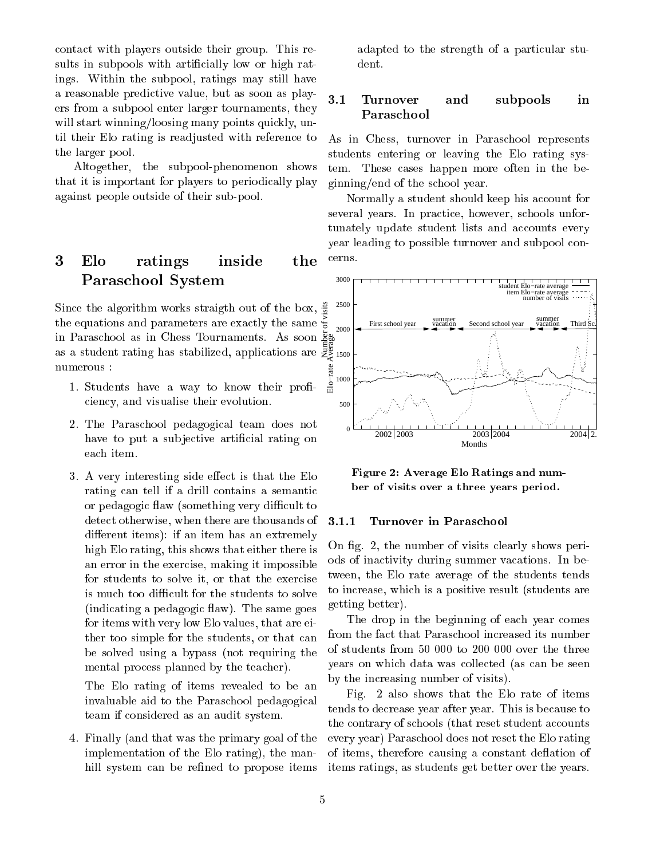onta
t with players outside their group. This results in subpools with artificially low or high ratings. Within the subpool, ratings may still have a reasonable predi
tive value, but as soon as players from a subpool enter larger tournaments, they will start winning/loosing many points quickly, until their Elo rating is readjusted with referen
e to the larger pool.

Altogether, the subpool-phenomenon shows that it is important for players to periodi
ally play against people outside of their sub-pool.

### 3 Elo ratings inside the Paras
hool System

Sin
e the algorithm works straigth out of the box, the equations and parameters are exa
tly the same in Paras
hool as in Chess Tournaments. As soon as a student rating has stabilized, applications are  $\gtrapprox_{1500}$ numerous :

- 1. Students have a way to know their proficiency, and visualise their evolution.
- 2. The Paras
hool pedagogi
al team does not have to put a subjective artificial rating on ea
h item.
- 3. A very interesting side effect is that the Elo rating can tell if a drill contains a semantic or pedagogic flaw (something very difficult to dete
t otherwise, when there are thousands of different items): if an item has an extremely high Elo rating, this shows that either there is an error in the exer
ise, making it impossible for students to solve it, or that the exer
ise is much too difficult for the students to solve (indicating a pedagogic flaw). The same goes for items with very low Elo values, that are either too simple for the students, or that an be solved using a bypass (not requiring the mental pro
ess planned by the tea
her).

The Elo rating of items revealed to be an invaluable aid to the Paras
hool pedagogi
al team if onsidered as an audit system.

4. Finally (and that was the primary goal of the implementation of the Elo rating), the manhill system can be refined to propose items

adapted to the strength of a particular student.

## 3.1Turnover and subpools in

As in Chess, turnover in Paras
hool represents students entering or leaving the Elo rating system. These ases happen more often in the beginning/end of the s
hool year.

Normally a student should keep his account for several years. In practice, however, schools unfortunately update student lists and accounts every year leading to possible turnover and subpool on erns.



Figure 2: Average Elo Ratings and number of visits over a three years period.

### 3.1.1 Turnover in Paras
hool

On fig. 2, the number of visits clearly shows periods of ina
tivity during summer va
ations. In between, the Elo rate average of the students tends to in
rease, whi
h is a positive result (students are getting better).

The drop in the beginning of each year comes from the fact that Paraschool increased its number of students from 50 000 to 200 000 over the three years on whi
h data was olle
ted (as an be seen by the in
reasing number of visits).

Fig. 2 also shows that the Elo rate of items tends to de
rease year after year. This is be
ause to the contrary of schools (that reset student accounts every year) Paras
hool does not reset the Elo rating of items, therefore causing a constant deflation of items ratings, as students get better over the years.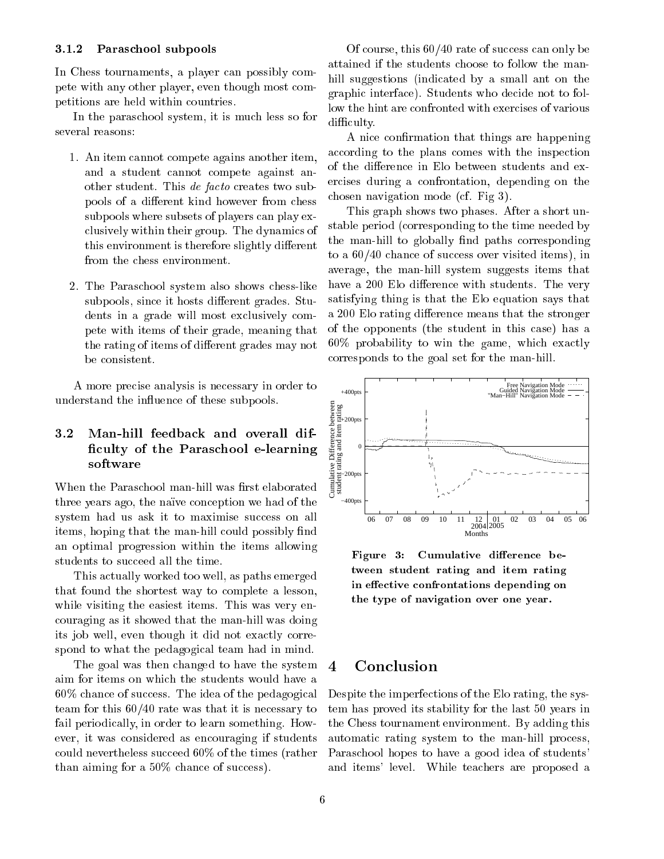### 3.1.2 Paras
hool subpools

In Chess tournaments, a player can possibly compete with any other player, even though most ompetitions are held within ountries.

In the paraschool system, it is much less so for several reasons:

- 1. An item annot ompete agains another item, and a student annot ompete against another student. This *de facto* creates two subpools of a different kind however from chess subpools where subsets of players can play exlusively within their group. The dynami
s of this environment is therefore slightly different from the chess environment.
- 2. The Paras
hool system also shows hess-like subpools, since it hosts different grades. Students in a grade will most exclusively compete with items of their grade, meaning that the rating of items of different grades may not

A more pre
ise analysis is ne
essary in order to understand the influence of these subpools.

### 3.2 Man-hill feedba
k and overall dif- 
ulty of the Paras
hool e-learning  $s = s + t + s$

When the Paraschool man-hill was first elaborated three years ago, the naïve conception we had of the system had us ask it to maximise success on all items, hoping that the man-hill could possibly find an optimal progression within the items allowing students to succeed all the time.

This a
tually worked too well, as paths emerged that found the shortest way to omplete a lesson, while visiting the easiest items. This was very enouraging as it showed that the man-hill was doing its job well, even though it did not exactly correspond to what the pedagogical team had in mind.

The goal was then hanged to have the system aim for items on whi
h the students would have a 60% chance of success. The idea of the pedagogical team for this 60/40 rate was that it is ne
essary to fail periodically, in order to learn something. However, it was onsidered as en
ouraging if students could nevertheless succeed 60% of the times (rather than aiming for a  $50\%$  chance of success).

Of course, this  $60/40$  rate of success can only be attained if the students hoose to follow the manhill suggestions (indicated by a small ant on the graphi interfa
e). Students who de
ide not to follow the hint are confronted with exercises of various difficulty.

A nice confirmation that things are happening according to the plans comes with the inspection of the difference in Elo between students and exer
ises during a onfrontation, depending on the hosen navigation mode (
f. Fig 3).

This graph shows two phases. After a short unstable period (
orresponding to the time needed by the man-hill to globally find paths corresponding to a  $60/40$  chance of success over visited items), in average, the man-hill system suggests items that have a 200 Elo difference with students. The very satisfying thing is that the Elo equation says that a 200 Elo rating difference means that the stronger of the opponents (the student in this ase) has a 60% probability to win the game, whi
h exa
tly orresponds to the goal set for the man-hill.



Figure 3: Cumulative difference between student rating and item rating in effective confrontations depending on the type of navigation over one year.

#### 4 **Conclusion**

Despite the imperfe
tions of the Elo rating, the system has proved its stability for the last 50 years in the Chess tournament environment. By adding this automatic rating system to the man-hill process. Paras
hool hopes to have a good idea of students' and items' level. While tea
hers are proposed a